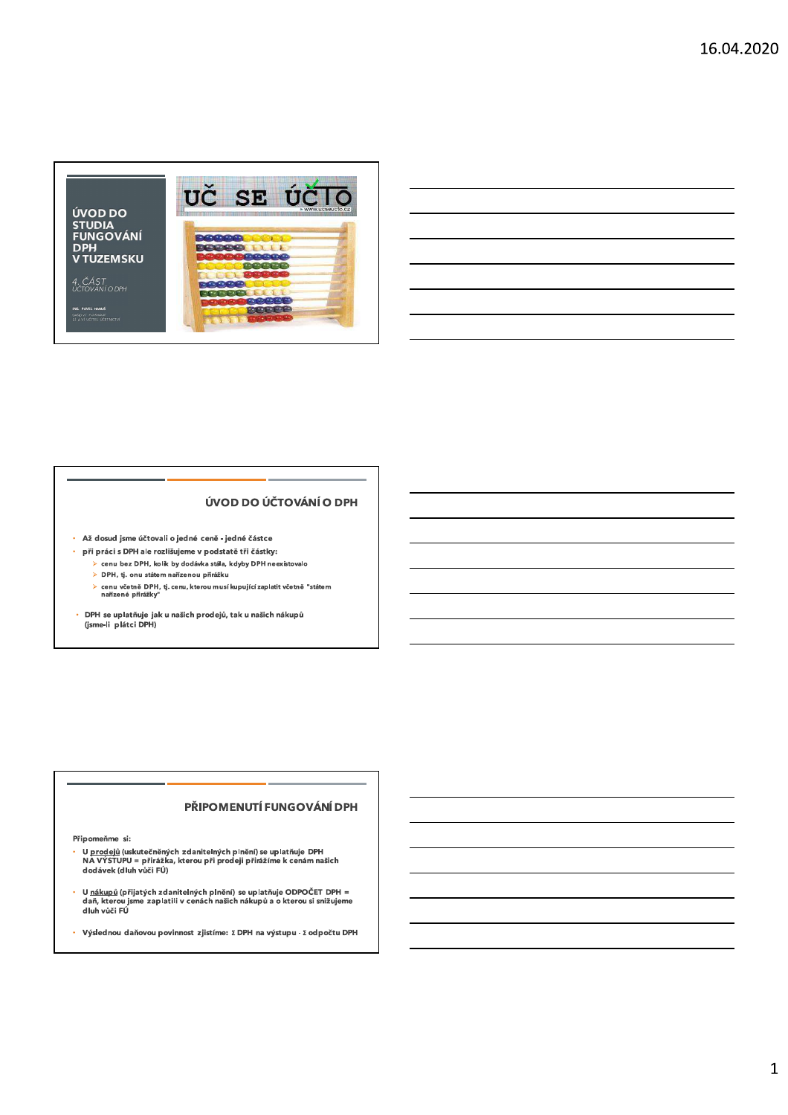

#### ÚVOD DO ÚČTOVÁNÍ O DPH

- · Až dosud jsme účtovali o jedné ceně jedné částce
- · při práci s DPH ale rozlišujeme v podstatě tři částky:
	- > cenu bez DPH, kolik by dodávka stála, kdyby DPH neexistovalo
	- > DPH, tj. onu státem nařízenou přirážku
	- cenu včetně DPH, tj. cenu, kterou musí kupující zaplatit včetně "státem<br>nařízené přirážky"  $\ddot{\phantom{1}}$
- DPH se uplatňuje jak u našich prodejů, tak u našich nákupů<br>(jsme-li plátci DPH)

#### PŘIPOMENUTÍ FUNGOVÁNÍ DPH

Připomeňme si:

- ,<br>U <u>prodejů</u> (uskutečněných zdanitelných plnění) se uplatňuje DPH<br>NA VÝSTUPU = přirážka, kterou při prodeji přirážíme k cenám našich<br>dodávek (dluh vůči FÚ)
- U <u>nákupů</u> (přijatých zdanitelných plnění) se uplatňuje ODPOČET DPH =<br>daň, kterou jsme zaplatili v cenách našich nákupů a o kterou si snižujeme<br>dluh vůči FÚ
- ä, Výslednou daňovou povinnost zjistíme: ΣDPH na výstupu - Σodpočtu DPH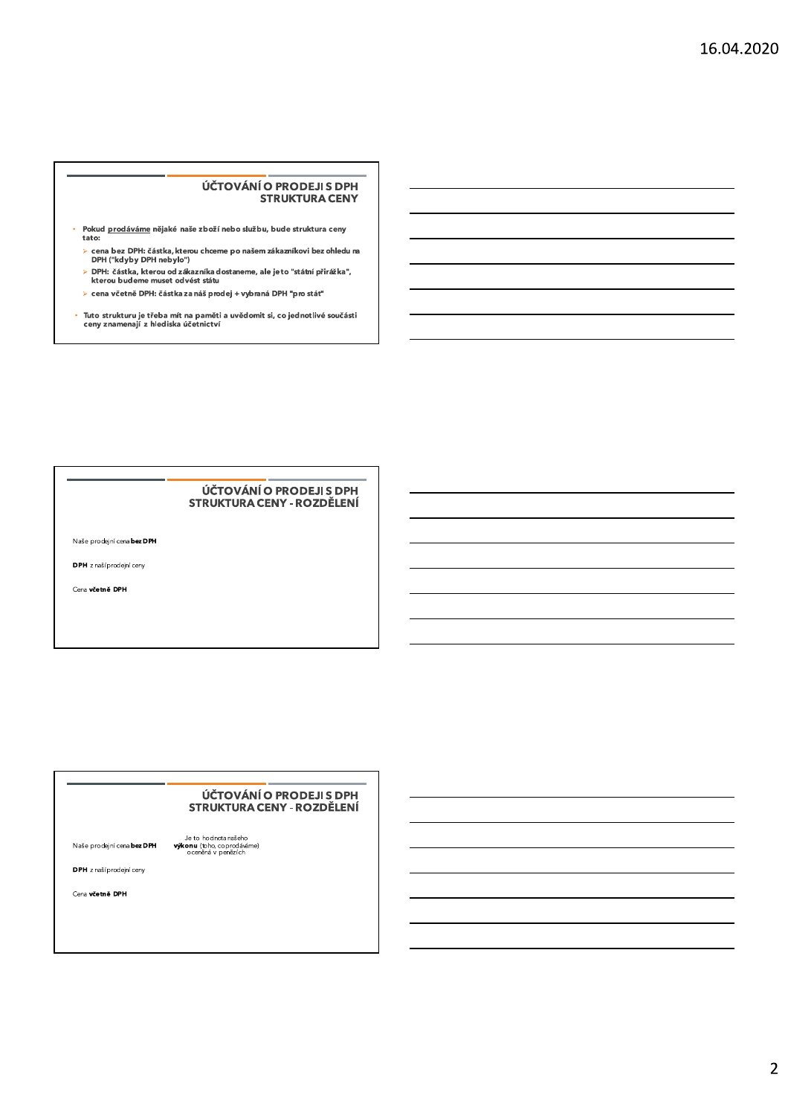#### UCTOVANIO PRODEJI S DPH STRUKTURA CENY

- -
	-
	-
- $\begin{tabular}{l|c} \hline \rule[-1.2ex]{0pt}{0.2ex} \rule[-1.2ex]{0pt}{0.2ex} \rule[-1.2ex]{0pt}{0.2ex} \rule[-1.2ex]{0pt}{0.2ex} \rule[-1.2ex]{0pt}{0.2ex} \rule[-1.2ex]{0pt}{0.2ex} \rule[-1.2ex]{0pt}{0.2ex} \rule[-1.2ex]{0pt}{0.2ex} \rule[-1.2ex]{0pt}{0.2ex} \rule[-1.2ex]{0pt}{0.2ex} \rule[-1.2ex]{0pt}{0.2ex} \rule[-1.2ex]{0pt}{0.2ex} \rule[-1.2ex]{0pt}{0.2ex$

#### UCI OVANI O PRODEJI S DPH STRUKTURA CENY - ROZDĚLENÍ

Naše prodejní cena bez DPH

DPH z naší prodejní ceny

Cena včetně DPH

### <u>UCTOVANI O PRODEJI S DPH</u> STRUKTURA CENY - ROZDĚLENÍ COVÁNÍ<br>COVÁNÍ<br>Naše prodsjní cena **bez DPH**<br>Naše prodsjní cena **bez DPH**<br>DPH z našíprodejní ceny<br>DPH z našíprodejní ceny<br>Cena **včetně DPH**

 $\overline{2}$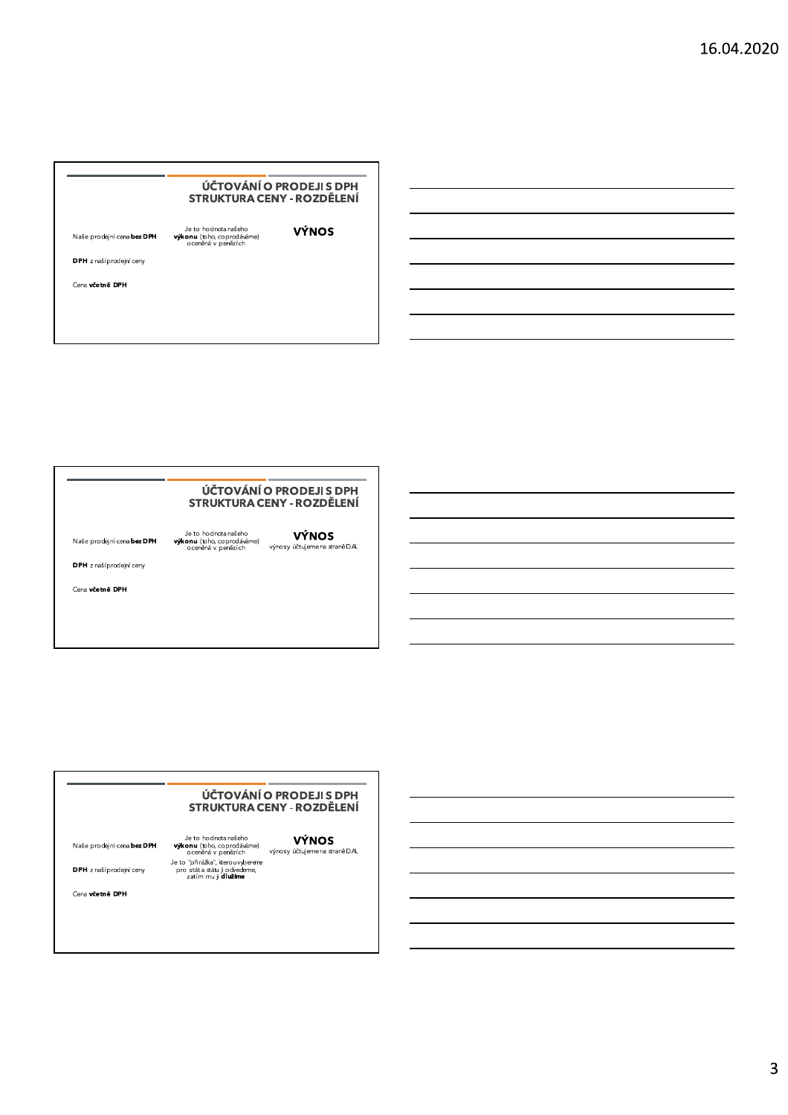### UCI OVANI O PRODEJI S DPH STRUKTURA CENY - ROZDĚLENÍ VČTOVÁNÍ O PRODEJI S DPH<br>
STRUKTURA CENY - ROZDĚLENÍ<br>
Naše prodsjní cena bez DPH<br>
výkonu (bho, coprodáváne)<br>
OPH z našíprodejní ceny<br>
Cena včetně DPH<br>
Cena včetně DPH

#### UCI OVANI O PRODEJI S DPH STRUKTURA CENY - ROZDĚLENÍ

VČTOVÁNÍ O PRODEJI S DPH<br>
STRUKTURA CENY - ROZDĚLENÍ<br>
Naše prodsjní cena bez DPH<br>
výkonu (bho, coprodáváme)<br>
OPH z našíprodejní ceny<br>
Cena včetně DPH<br>
Cena včetně DPH

#### <u>UCTOVANI O PRODEJI S DPH</u> STRUKTURA CENY - ROZDĚLENÍ

Naše prodejní cena **bez DPH** výkonu (bho, coprodáváme)<br>
výkonu (bho, coprodáváme)<br>
oceněná v penězích výnosy účtujemena straně D*AL*<br>
DPH z našíprodejní ceny pro stát a stáu ji obvedeme,<br>
cena **včetně DPH**<br>
Cena **větně DP**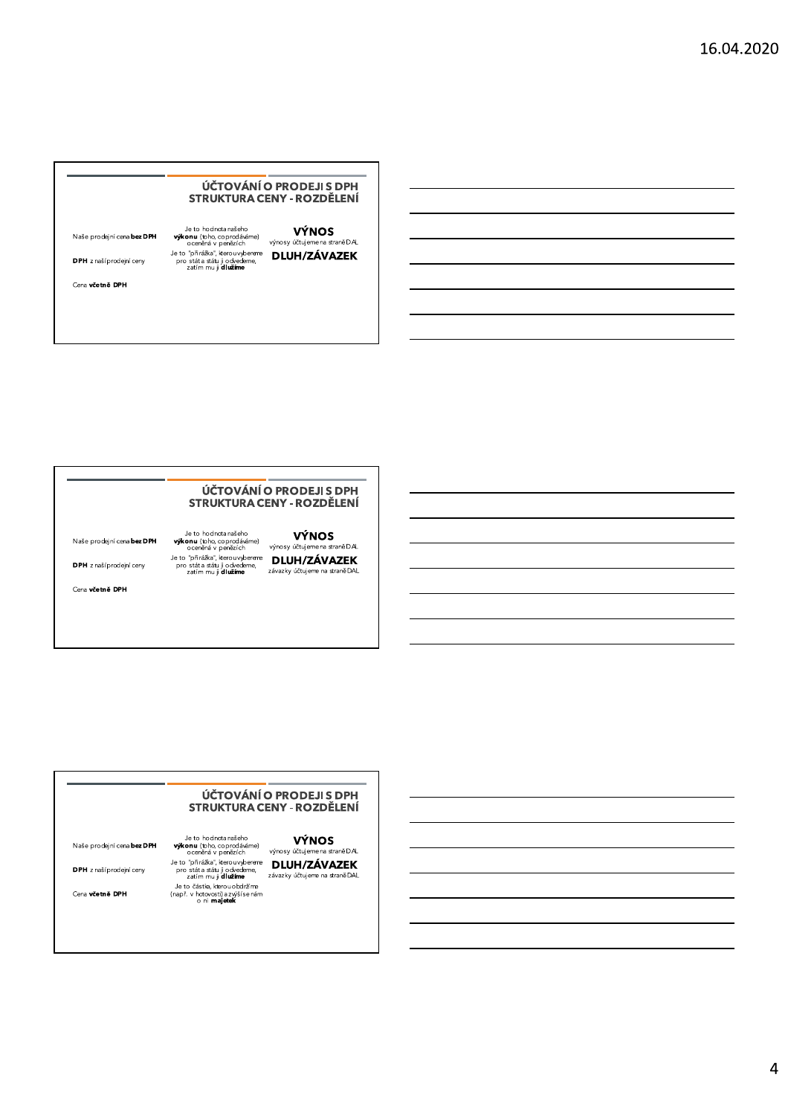#### ÚČTOVÁNÍ O PRODEJI S DPH STRUKTURA CENY - ROZDĚLENÍ

| Naše prodejní cena bez DPH | Je to hodnota našeho<br><b>výkonu</b> (toho, coprodáváme)<br>oceněná v penězích          | <b>VÝNOS</b><br>výnosy účtujeme na straně DAL |
|----------------------------|------------------------------------------------------------------------------------------|-----------------------------------------------|
| DPH z naší prodejní ceny   | Je to "přirážka", kterouvybereme<br>pro stát a státu ji odvedeme,<br>zatím mu ji dlužíme | <b>DLUH/ZÁVAZEK</b>                           |

Cena včetně DPH

#### ÚČTOVÁNÍ O PRODEJI S DPH STRUKTURA CENY - ROZDĚLENÍ

Je to hodnota našeho **výkonu** (toho, coprodáváme)<br>ocenéná v penázich výnosy účtujemena straněDA<br>Je to "přirážka", kerouvybereme **DLUH/ZÁVAZEK**<br>pro státa stáu ji odvedeme, **DLUH/ZÁVAZEK**<br>zatím mu ji **dlužíme** závazky účtuje Naše prodejní cena bez DPH

DPH z naší prodejní ceny

Cena včetně DPH

#### ÚČTOVÁNÍ O PRODEJI S DPH **STRUKTURA CENY - ROZDĚLENÍ**

Naše prodejní cena bez DPH

DPH z naší prodejní ceny

Cena včetně DPH

Je to hodnota našeho výk**onu (toho, coprodáváme)**<br>výk**onu (toho, coprodáváme)** výnosy účtujemena straně DAL ocenéna v penezich<br>
Je to "přirážka", kerou vybereme **DLUH/ZÁVAZEK**<br>
pro státa stáu ji odvedeme,<br>
zatím mu ji **dlužíme** závazky účtujeme na straněDAL<br>
Je to částka, kerou obdržíme<br>
DLUH/Z**ÁVAZEK**<br>
o ni **majetek**<br>
o ni **maj**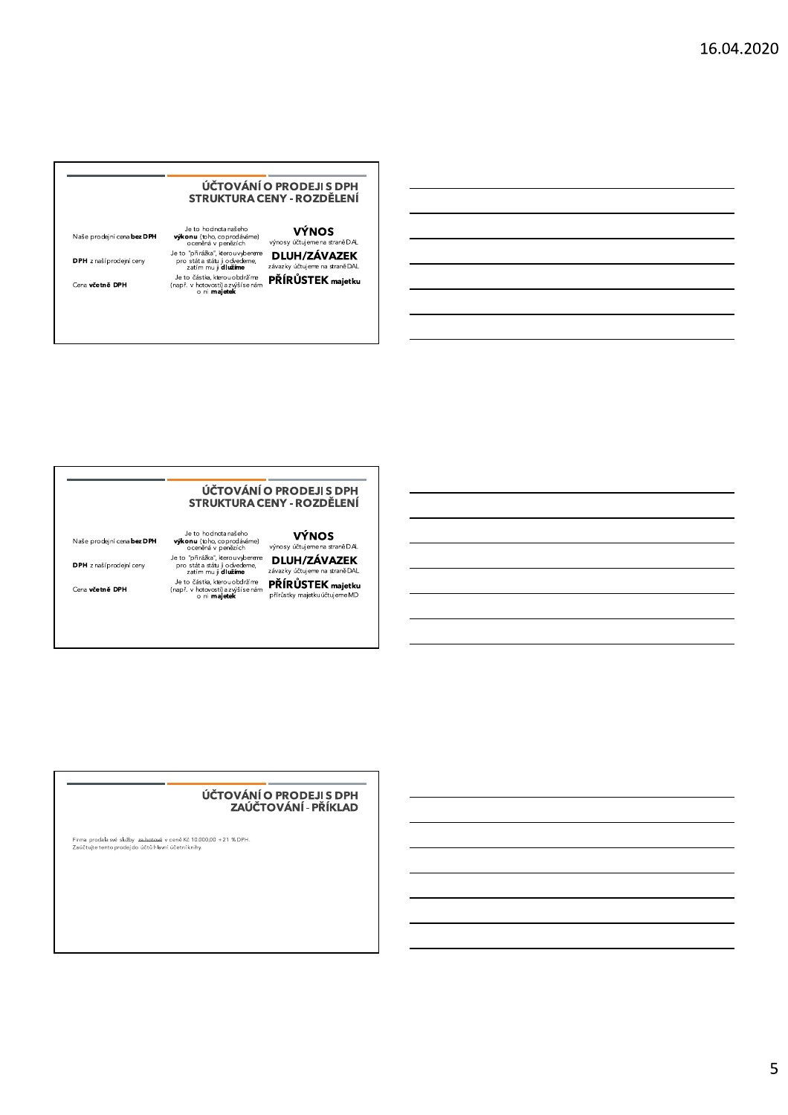#### UCI OVANI O PRODEJI S DPH STRUKTURA CENY - ROZDĚLENÍ

|                            |                                                                                            | ÚČTOVÁNÍ O PRODEJI S DPH<br>STRUKTURA CENY - ROZDĚLENÍ |
|----------------------------|--------------------------------------------------------------------------------------------|--------------------------------------------------------|
| Naše prodejní cena bez DPH | Je to hodnota našeho<br><b>výkonu</b> (toho, coprodáváme)<br>oceněná v penězích            | <b>VÝNOS</b><br>výnosy účtujeme na straně DAL          |
| DPH z naší prodejní ceny   | Je to "přirážka", kterouvyberene<br>pro stát a státu ji odvedeme,<br>zatím mu ji dlužíme   | <b>DLUH/ZÁVAZEK</b><br>závazky účtujeme na straně DAL  |
| Cena včetně DPH            | Je to částka, kterou obdržíme<br>(např. v hotovosti) a zvýší se nám<br>o ni <b>majetek</b> | PŘÍRŮSTEK majetku                                      |

#### UCI OVANI O PRODEJI S DPH STRUKTURA CENY - ROZDĚLENÍ

VÝNOS<br>
Naše prodejní cena bez DPH výkonu (tpho, coprodáváme)<br>
oceněná v penězích výnosy účtujemena staně DAL<br>
DPH z naší prodejní ceny pro stát a stálu ji odvedeme,<br>
DEUH/ZÁVAZEK<br>
DPH z naší prodejní ceny pro stát a stálu

#### UCTOVANI O PRODEJI S DPH ZAUC I OVANI - PRIKLAD

Hirma prodala sve sluzby, <u>za hotova</u> v cene Kc 10.000,00 +21 %DPH.<br>Zaúčtujte tento prodej do účtů hlavní účetníknihy.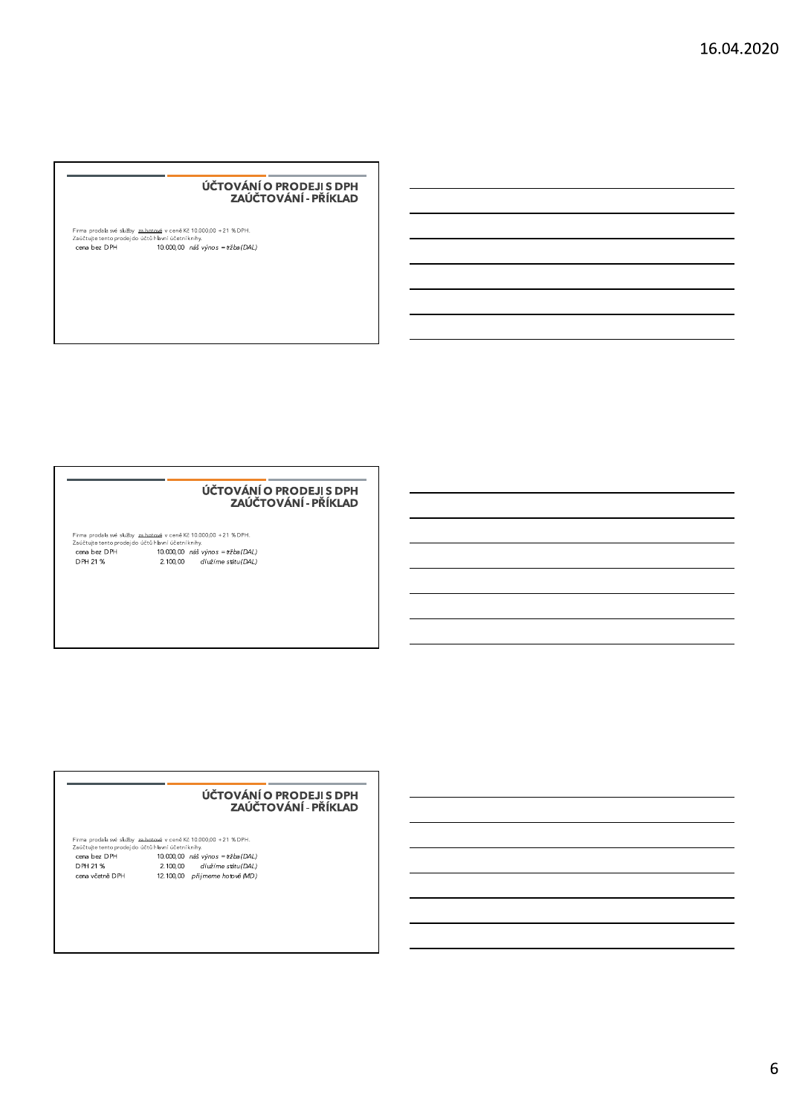#### ÚČTOVÁNÍ O PRODEJI S DPH ZAÚČTOVÁNÍ - PŘÍKLAD

### 

#### ÚČTOVÁNÍ O PRODEJI S DPH ZAÚČTOVÁNÍ - PŘÍKLAD

#### ÚČTOVÁNÍ O PRODEJI S DPH ZAÚČTOVÁNÍ - PŘÍKLAD

Firma prodala své služby za botová v ceně Kč 10.000,00 +21 % DPH.<br>Zaúčtuje tento prodej do účtů hlavní účetní knihy.<br>
cena bez DPH 10.000,00 náš výnos = tržba (DAL)<br>
DPH 21 % 2.100,00 dlužíme státu (DAL) cena včetně DPH 12.100,00 přijmeme hotově (MD)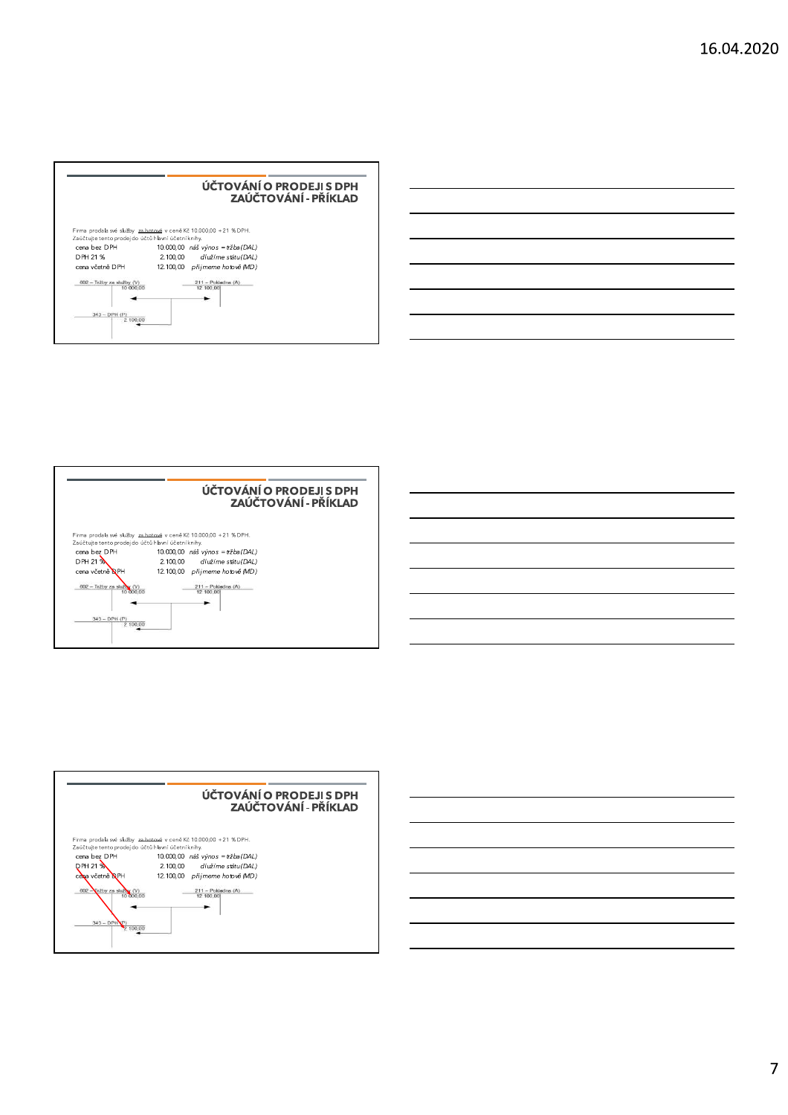| Firma prodala své služby za hotové v ceně Kč 10.000,00 + 21 % DPH.<br>Zaúčtujte tento prodej do účtů hlavní účetní knihy.<br>cena bez DPH<br>10.000,00 náš výnos = tržba (DAL)<br>DPH 21 %<br>2.100.00 dlužíme státu (DAL)<br>cena včetně DPH<br>12.100.00 přijmeme hotově (MD)<br>$602 - Tr2by$ za služby (V)<br>$211 -$ Pokladna (A)<br>12 100:00<br>10 000.00 |                             | ÚČTOVÁNÍ O PRODEJI S DPH<br>ZAÚČTOVÁNÍ - PŘÍKLAD |
|------------------------------------------------------------------------------------------------------------------------------------------------------------------------------------------------------------------------------------------------------------------------------------------------------------------------------------------------------------------|-----------------------------|--------------------------------------------------|
|                                                                                                                                                                                                                                                                                                                                                                  |                             |                                                  |
|                                                                                                                                                                                                                                                                                                                                                                  |                             |                                                  |
|                                                                                                                                                                                                                                                                                                                                                                  |                             |                                                  |
|                                                                                                                                                                                                                                                                                                                                                                  |                             |                                                  |
|                                                                                                                                                                                                                                                                                                                                                                  |                             |                                                  |
|                                                                                                                                                                                                                                                                                                                                                                  | $343 - DPH (P)$<br>2 100.00 |                                                  |





 $\overline{7}$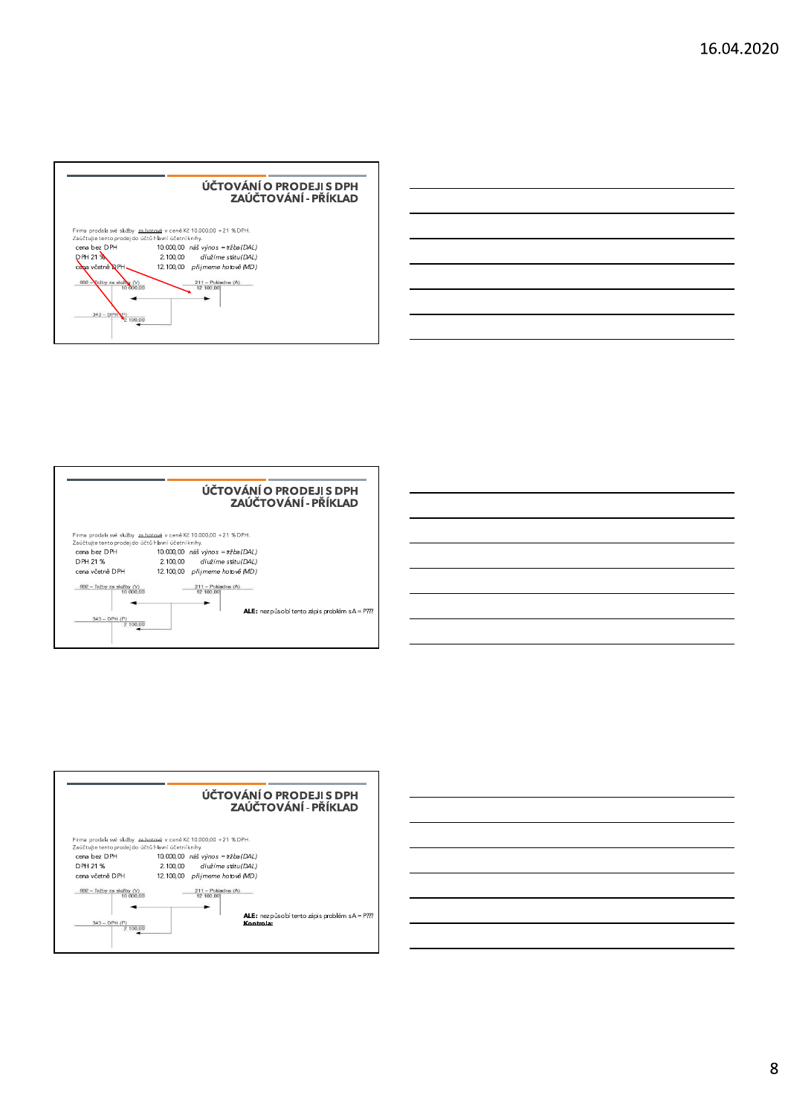





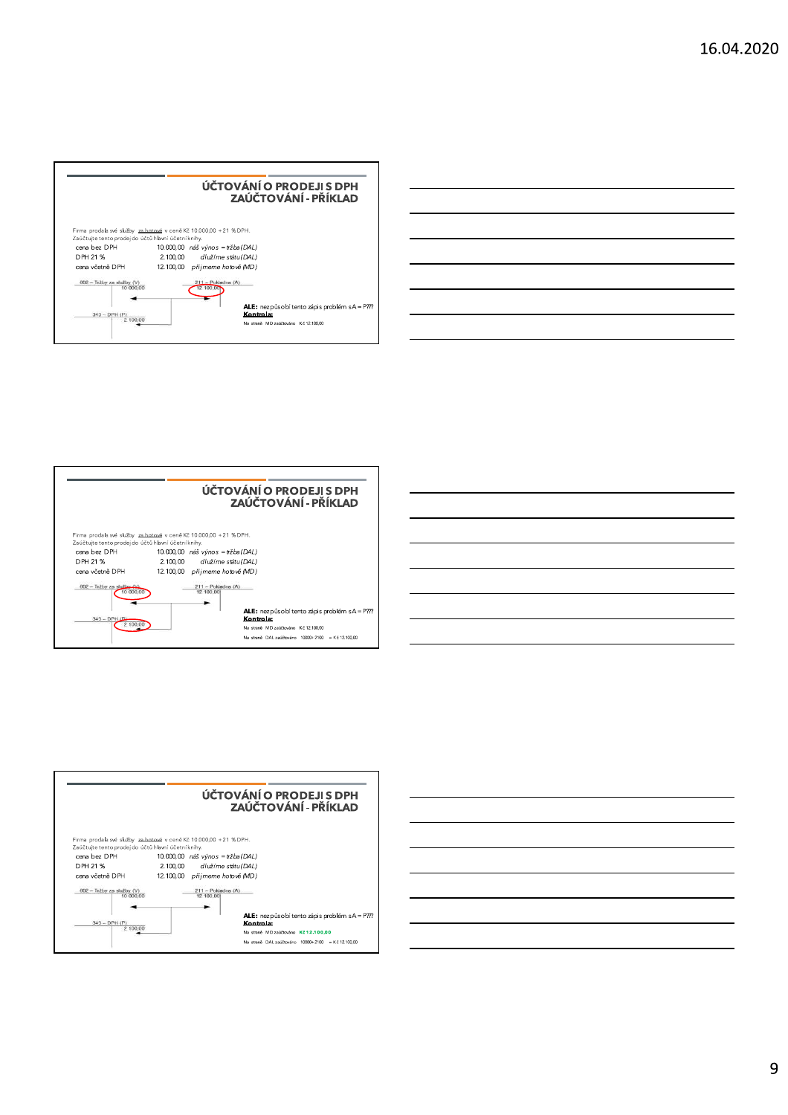|                                                     | ÚČTOVÁNÍ O PRODEJI S DPH<br>ZAÚČTOVÁNÍ - PŘÍKLAD                  |
|-----------------------------------------------------|-------------------------------------------------------------------|
| Zaúčtujte tento prodej do účtů hlavní účetní knihy. | Firma prodala své služby za hotové v ceně Kč 10.000,00 +21 % DPH. |
| cena bez DPH                                        | 10.000,00 náš výnos = tržba (DAL)                                 |
| DPH 21 %                                            | 2.100.00<br>dlužíme státu (DAL)                                   |
| cena včetně DPH                                     | 12.100.00 přijmeme hotově (MD)                                    |
| $602 - Tr2by$ za služby (V)<br>10 000.00            | $211 -$ Pokladna (A)<br>100.000                                   |
| $343 - DPH (P)$                                     | <b>ALE:</b> nezpůsobí tento zápis problém sA = P???<br>Kontrola:  |
| 2 100 00                                            | Na straně MD zaúčtováno Kč 12.100.00                              |







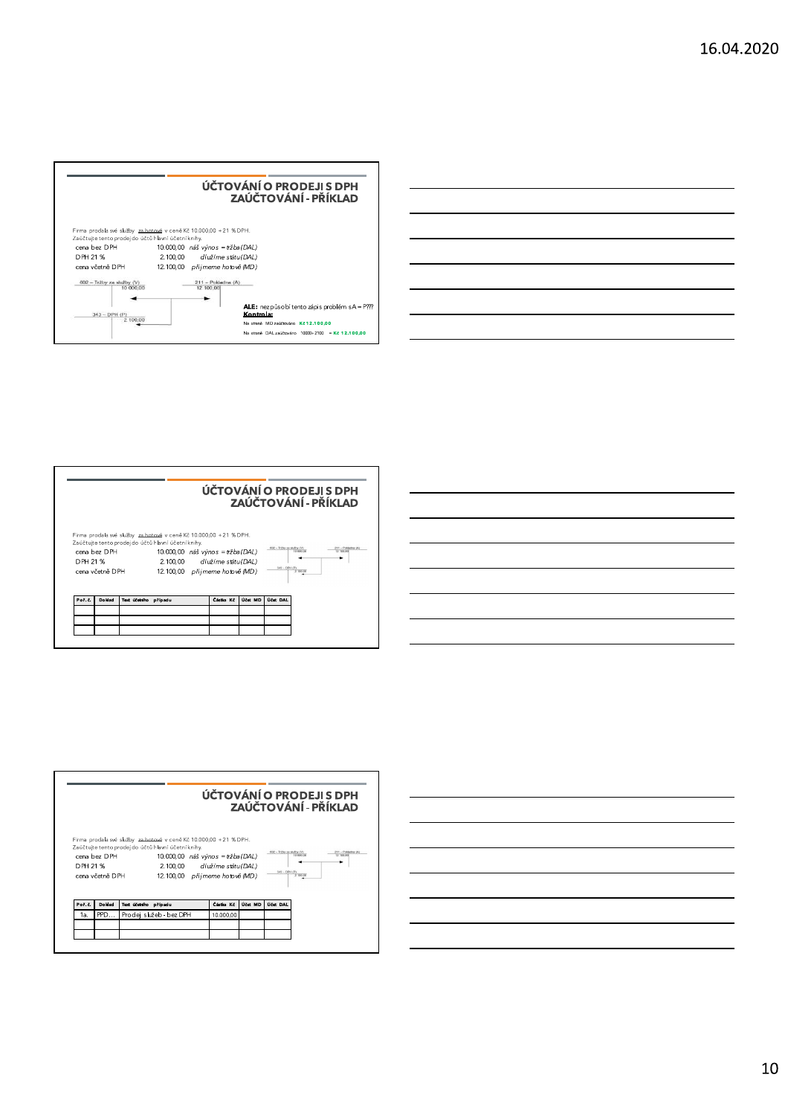|                                                                     | ÚČTOVÁNÍ O PRODEJI S DPH<br>ZAÚČTOVÁNÍ - PŘÍKLAD                  |
|---------------------------------------------------------------------|-------------------------------------------------------------------|
|                                                                     | Firma prodala své služby za hotové v ceně Kč 10.000,00 +21 % DPH. |
| Zaúčtujte tento prodej do účtů hlavní účetní knihy.<br>cena bez DPH |                                                                   |
|                                                                     | 10.000,00 náš výnos = tržba (DAL)                                 |
| DPH 21 %                                                            | 2.100.00<br>dlužíme státu (DAL)                                   |
| cena včetně DPH                                                     | 12.100.00 přijmeme hotově (MD)                                    |
| $602 - Tr2by$ za služby (V)<br>10 000.00                            | $211 -$ Pokladna $(A)$<br>12 100,00                               |
|                                                                     |                                                                   |
|                                                                     | ALE: nezpůsobí tento zápis problém sA = P???                      |
| $343 - DPH (P)$                                                     | Kontrola:                                                         |
| 2 100 00                                                            | Na straně MD zaúčtováno Kč 12.100.00                              |
|                                                                     | Na straně DAL zaúčtováno 10000+2100 = Kč 12.100.00                |









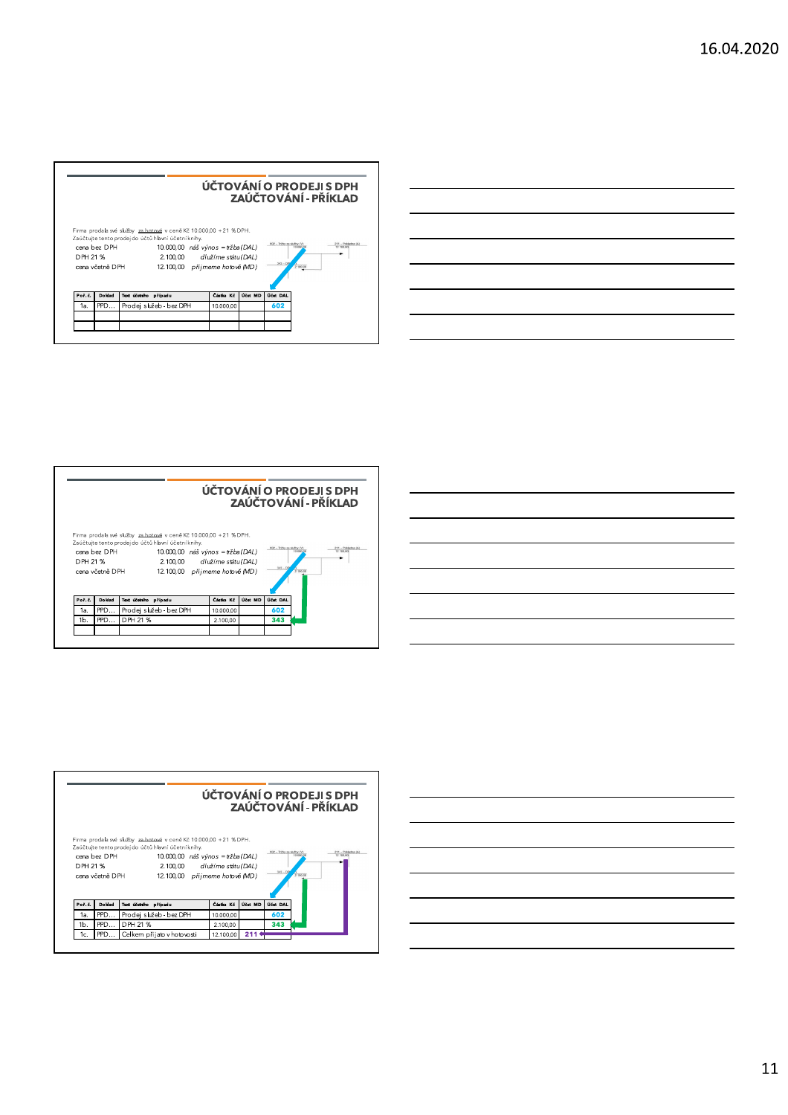|          |                                 |                                                                                                                                                                                                                                 |           |         | ÚČTOVÁNÍ O PRODEJI S DPH<br>ZAÚČTOVÁNÍ - PŘÍKLAD                                                   |
|----------|---------------------------------|---------------------------------------------------------------------------------------------------------------------------------------------------------------------------------------------------------------------------------|-----------|---------|----------------------------------------------------------------------------------------------------|
| DPH 21 % | cena bez DPH<br>cena včetně DPH | Firma prodala své služby za hotové v ceně Kč 10.000,00 +21 % DPH.<br>Zaúčtujte tento prodej do účtů hlavní účetní knihy.<br>10.000,00 náš výnos = tržba (DAL)<br>2.100.00 dlužíme státu (DAL)<br>12.100,00 přijmeme hotově (MD) |           |         | 602 - Tržby za služby (V)<br>211 - Pokladna (A)<br>10,000.00<br>12 100 00<br>$343 - DPI$<br>210000 |
|          |                                 | Text účetního případu                                                                                                                                                                                                           | Částka Kč | Účet MD | Účet DAL                                                                                           |
| Poř. č.  | Do klad                         |                                                                                                                                                                                                                                 |           |         |                                                                                                    |
| 1a.      | PPD                             | Prodej služeb - bez DPH                                                                                                                                                                                                         | 10.000,00 |         | 602                                                                                                |









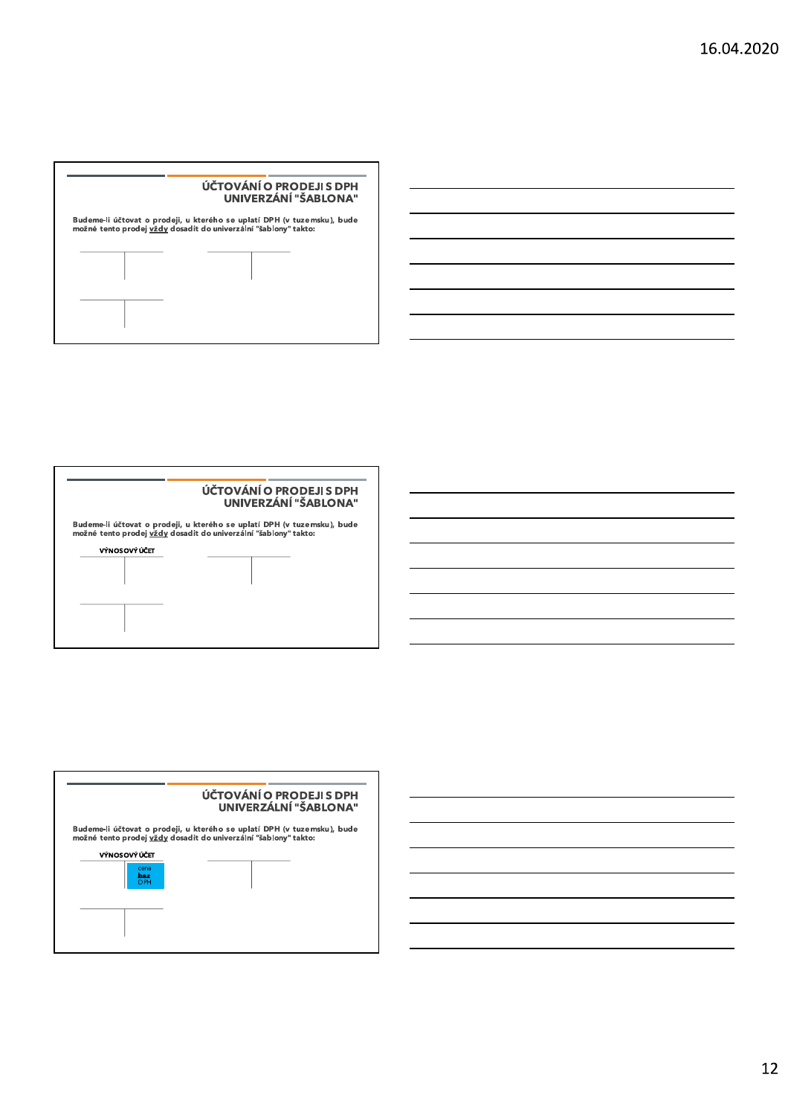





12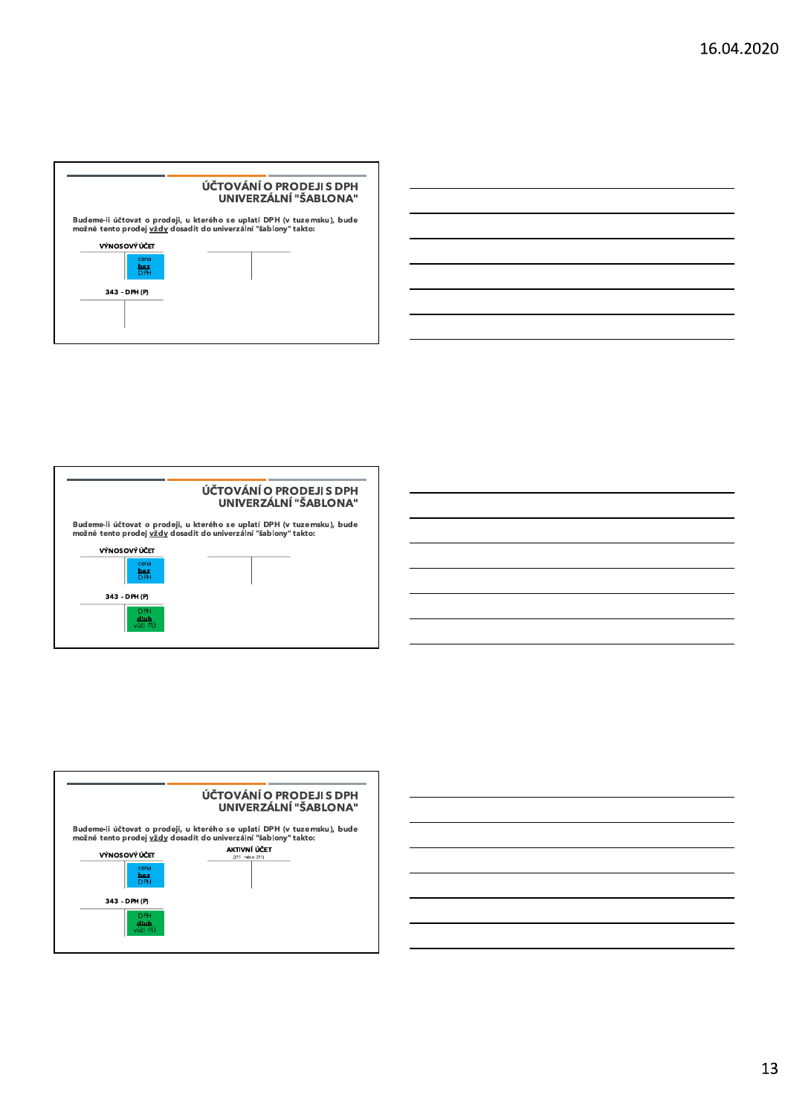



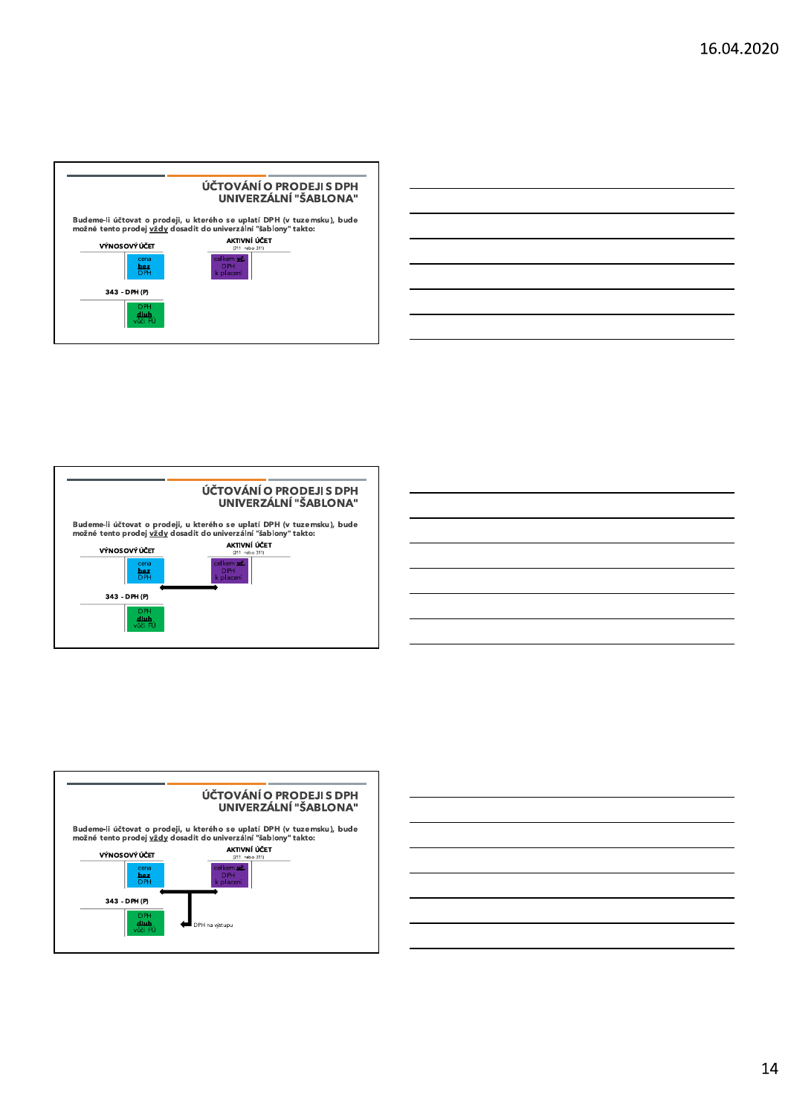







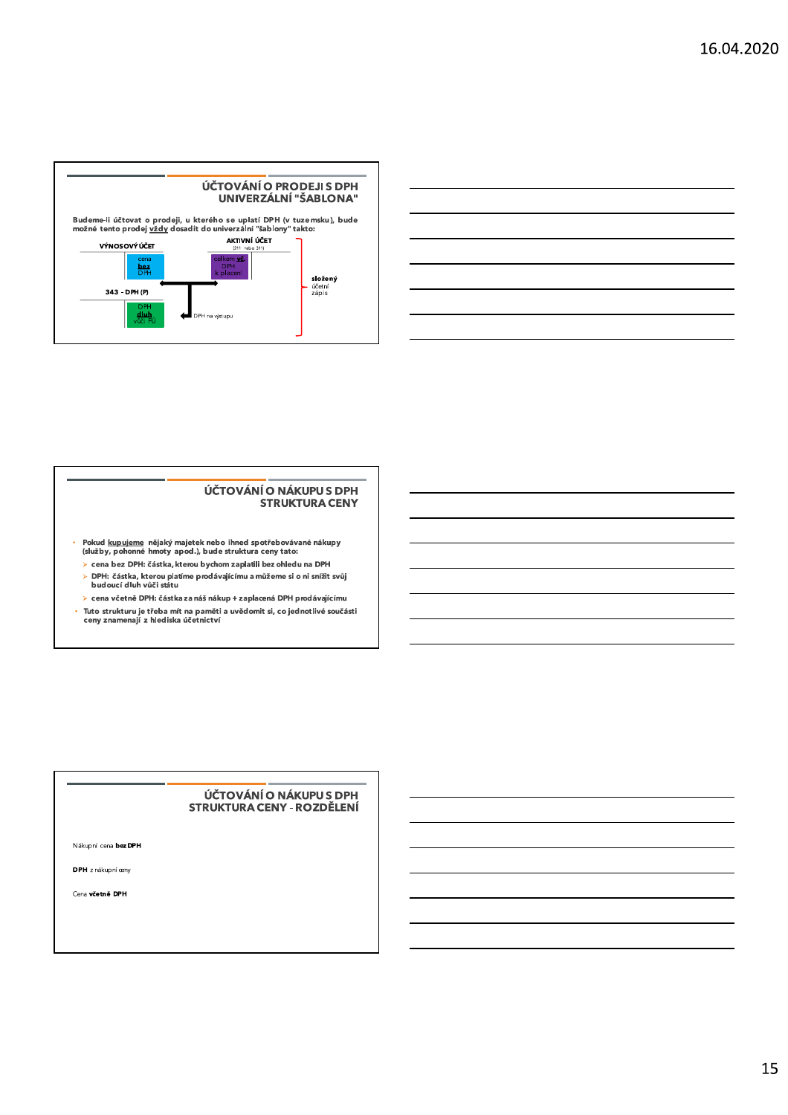

#### ÚČTOVÁNÍ O NÁKUPU S DPH **STRUKTURA CENY**

- Pokud <u>kupujeme</u> nějaký majetek nebo ihned spotřebovávané nákupy<br>(služby, pohonné hmoty apod.), bude struktura ceny tato:  $\hat{\mathbf{r}}$ 
	- $\triangleright$  cena bez DPH: částka, kterou bychom zaplatili bez ohledu na DPH
	- > DPH: částka, kterou platíme prodávajícímu a můžeme si o ni snížit svůj<br>> DPH: částka, kterou platíme prodávajícímu a můžeme si o ni snížit svůj<br>budoucí dluh vůči státu
	- > cena včetně DPH: částka za náš nákup + zaplacená DPH prodávajícímu
- Tuto strukturu je třeba mít na paměti a uvědomit si, co jednotlivé součásti<br>ceny znamenají z hlediska účetnictví

#### ÚČTOVÁNÍ O NÁKUPU S DPH **STRUKTURA CENY - ROZDĚLENÍ**

Nákupní cena bez DPH

DPH z nákupní œny

Cena včetně DPH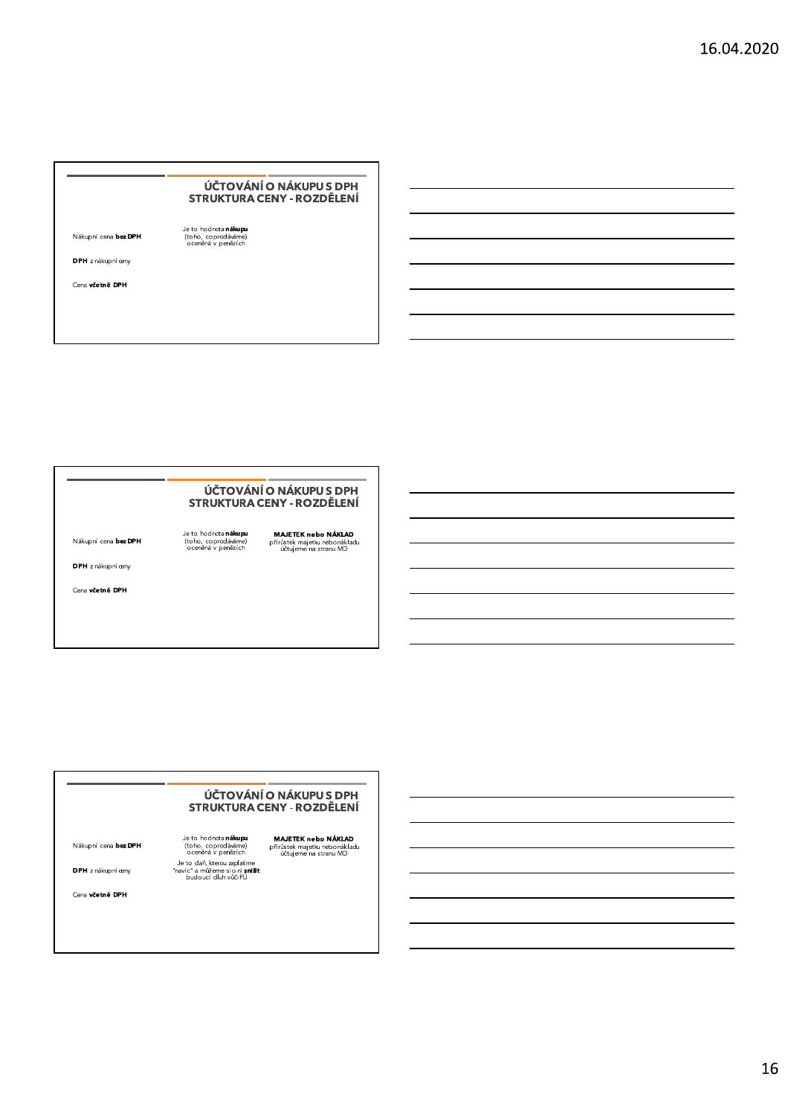# ÚČTOVÁNÍ O NÁKUPU S DPH<br>STRUKTURA CENY - ROZDĚLENÍ VĚTOVÁNÍ O NÁKUPU S DPH<br>
STRUKTURA CENY - ROZDĚLENÍ<br>
Nákupní cena **bez DPH**<br>
<sup>Je to hodnota n**álupu**<br>
(toho, coprodávárne)<br>
ocenáná v penázích<br>
OPH z nákupní ceny<br>
Cena **včetně DPH**<br>
Cena v**četně DPH**</sup>

# ÚČTOVÁNÍ O NÁKUPU S DPH<br>STRUKTURA CENY - ROZDĚLENÍ VĚTOVÁNÍ O NÁKUPU S DPH<br>
STRUKTURA CENY - ROZDĚLENÍ<br>
Nákupní cena **bez DPH**<br>
(tob, coprodávárne)<br>
(tob, coprodávárne)<br>
přírůstek majetlu nebonákladu<br>
oceněná v penězích<br>
Cena větně DPH<br>
Cena větně DPH

# ÚČTOVÁNÍ O NÁKUPU S DPH<br>STRUKTURA CENY - ROZDĚLENÍ **UČTOVÁNÍO NÁKUPUS DPH<br>STRUKTURA CENY - ROZDĚLENÍ<br>Nákupní cena <b>bez DPH** Je to hodnota n**ákupu MAETEK nebo NÁKLAD**<br>Nákupní cena **bez DPH** (tob<sub>o, coptodávéme) přírústek majetku nebonákladu<br>ocenáná v penázích stranu MD<br>Je t</sub>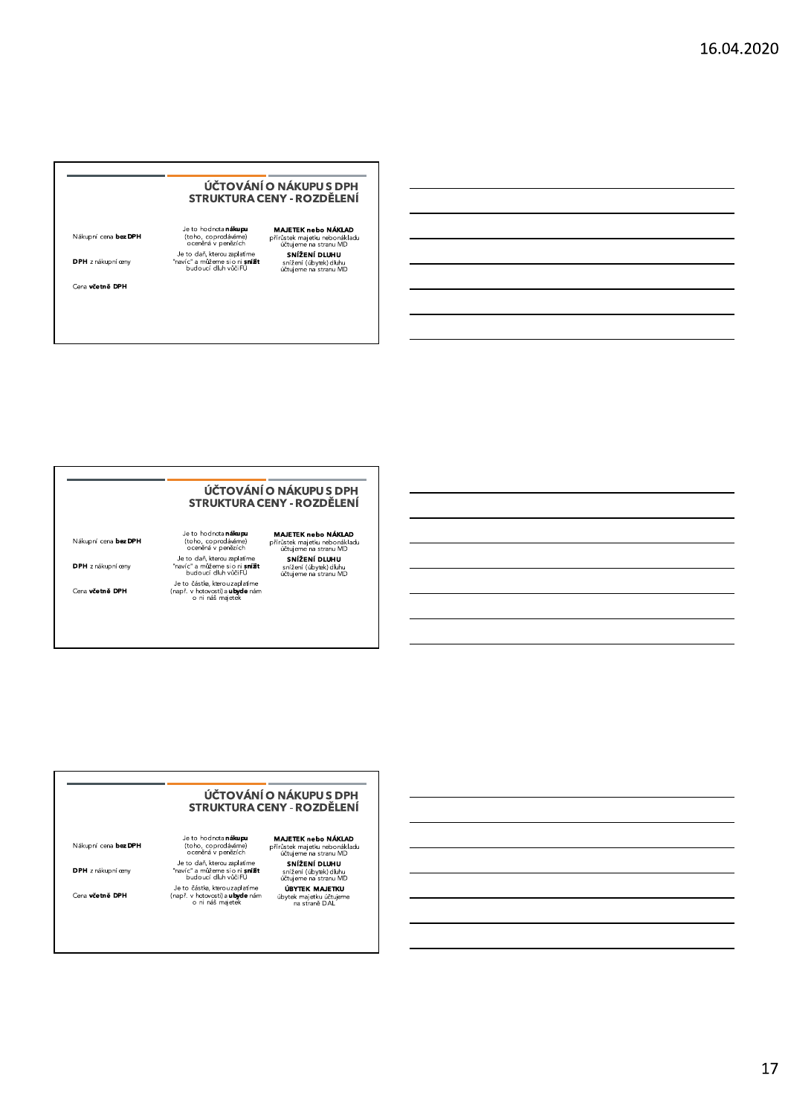## UCI OVANI O NAKUPU S DPH STRUKTURA CENY - ROZDĚLENÍ VÁTOVÁNÍ O NÁKUPUS DPH<br>
STRUKTURA CENY - ROZDĚLENÍ<br>
Nákupní cena bez DPH<br>
Je to hodnota nákupu MAJETEK nebo NÁKLAD<br>
(tobo, copredáváne) – přírotek majetu nebonákladu<br>
Je to daň, kterou zaplatíme – sí mižetní DLUHU<br>
Je to d

## UCI OVANI O NAKUPU S DPH STRUKTURA CENY - ROZDĚLENÍ **UČTOVÁNÍ O NÁKUPUS DPH<br>
STRUKTURA CENY - ROZDĚLENÍ<br>
Nákupní cena bez DPH<br>
Je to hodnota nákupu MAJETEK nebo NÁKLAD<br>
(tobo, coprodáváne) přínástek majetlu nebonákladu<br>
Je to daň, kterou zaplatíme s tinu MD<br>
Je to daň, kter**

## UCTOVANI O NAKUPU S DPH STRUKTURA CENY - ROZDĚLENÍ **UČTOVÁNÍ O NÁKUPUS DPH<br>
STRUKTURA CENY - ROZDĚLENÍ<br>
Nákupní cena bez DPH<br>
Je to hodnota nákupu MAJETEK nebo NÁKLAD<br>
(tobo, copredicáme) přírůstek majetiu nebonákladu<br>
Je to daň, kterou zaplatíme (studiení starian MD<br>
Je t**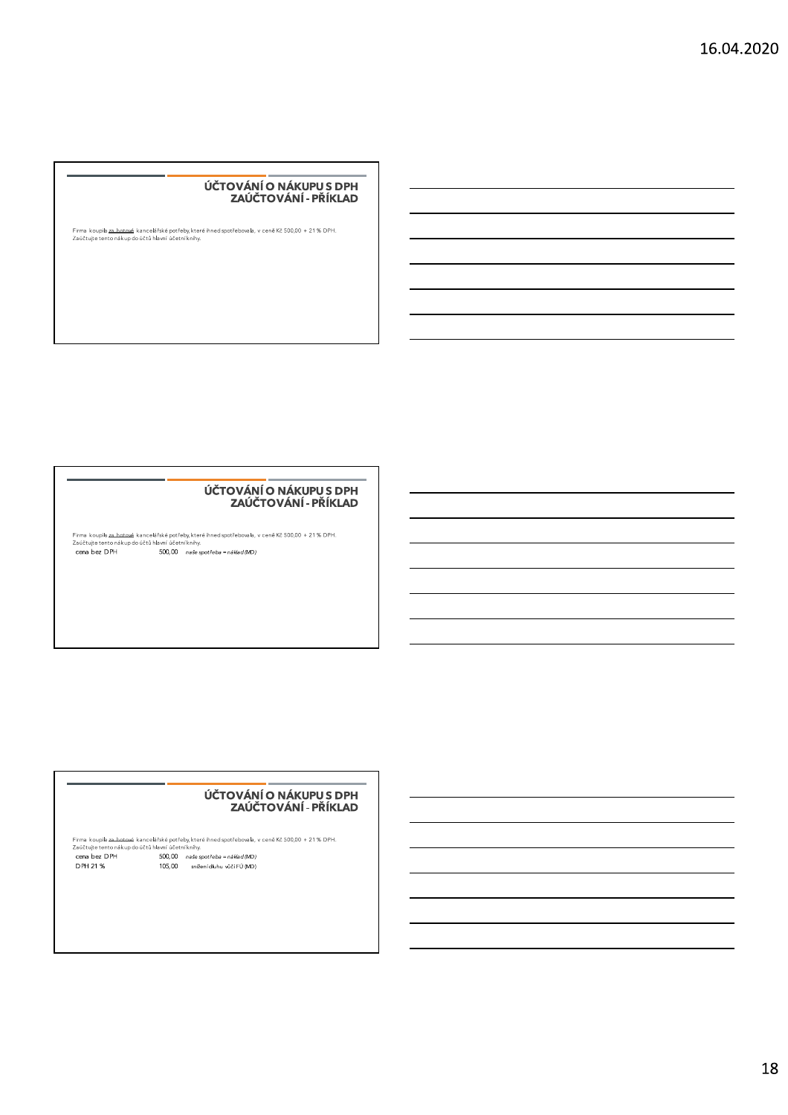#### UCI OVANI O NAKUPU S DPH ZAUCIO

Firma koupila <u>za hotová</u> kancelářské potřeby,které ihned spotřebovala, v ceně Kč 500,00 + 21 % DPH.<br>Zaúčtujte tento nákup do účtů hlavní účetníknihy.

#### UCI OVANI O NAKUPU S DPH ZAUCTO

 !"#\$%&'!(!")\$\*\$+,-./012345-6789:41;<=7-:1>67?@/1A7589:41;9B.2.=7B701/C7DE7FGG=GG7H7IJ7K7LMNO P.QE:RS:17:1/:97/3-R87A97QE:T7@2.B/U7QE1:/U7-/?@<O VWX!"YW("Z[\ ]^^\_^^ `abcdefghicjadkd`lmnaodpqrs

#### UC I OVANI O NAKUPU S DPH ZAUCIO

Firma koupila za botovák kancelářské potřeby, které ihned spotřebovala, v ceně Kč 500,00 + 21 % DPH.<br>Zaúčtujte tento nákup do účtů hlavní účetní knihy.<br>**cena bez DPH 300,00** naše spotřeba = náklad (MD)<br>**DPH 21 % 105,00** s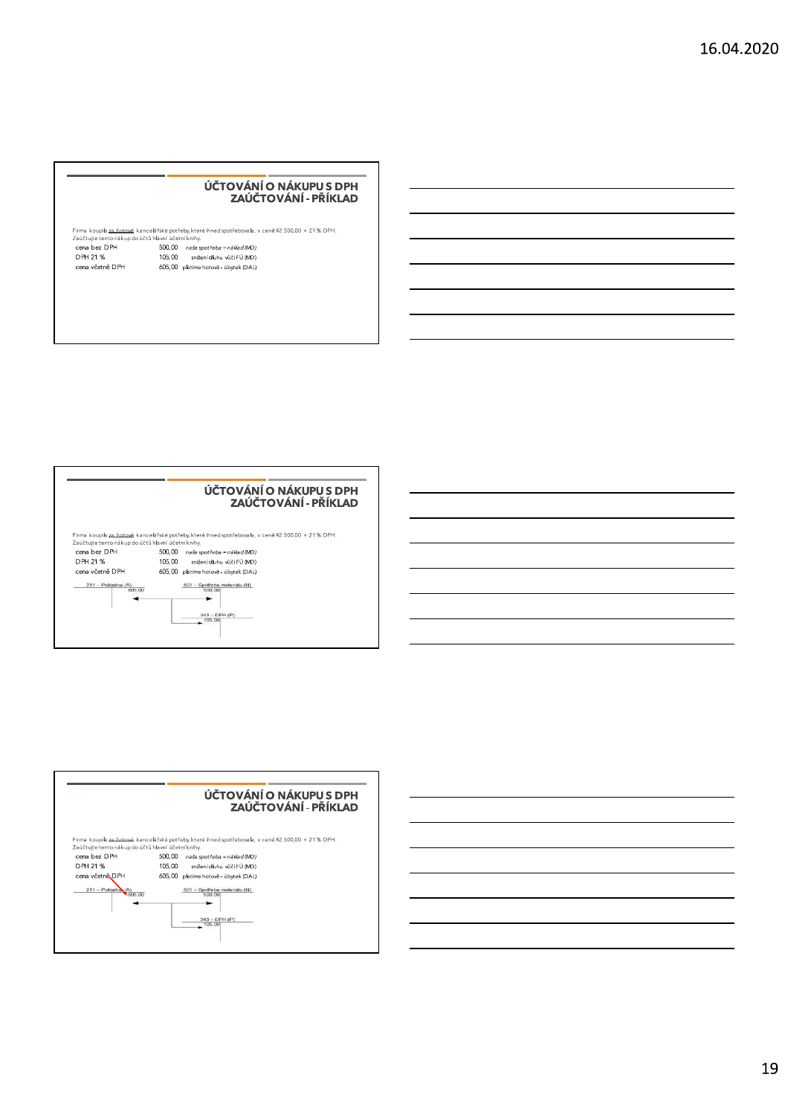#### UCI OVANI O NAKUPU S DPH ZAUCIO

|                                                    | ÚČTOVÁNÍ O NÁKUPU S DPH<br>ZAÚČTOVÁNÍ - PŘÍKLAD                                                     |
|----------------------------------------------------|-----------------------------------------------------------------------------------------------------|
|                                                    |                                                                                                     |
| Zaúčtujte tento nákup do účtů hlavní účetní knihy. | Firma koupila za hotové kancelářské potřeby, které ihned spotřebovala, v ceně Kč 500,00 + 21 % DPH. |
| cena bez DPH                                       | 500.00<br>naše spotřeba = náklad (MD)                                                               |
| DPH 21 %                                           | 105.00<br>snížení dluhu vůči FÚ (MD)                                                                |



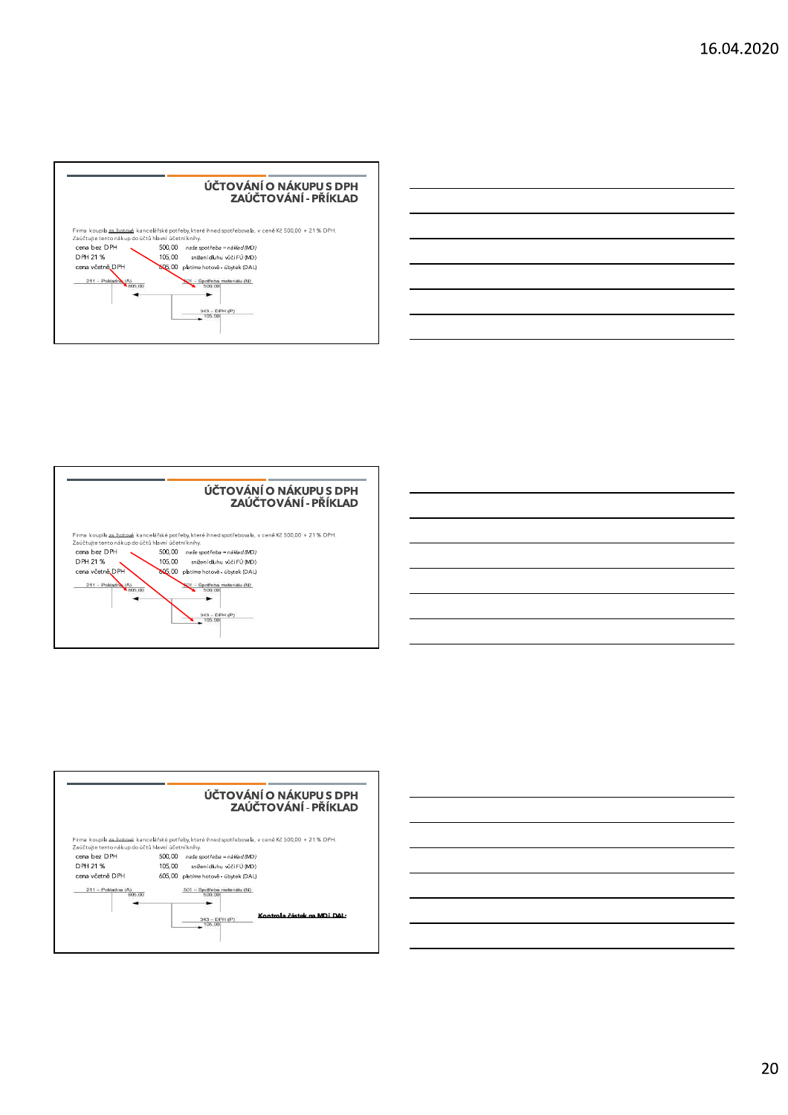





20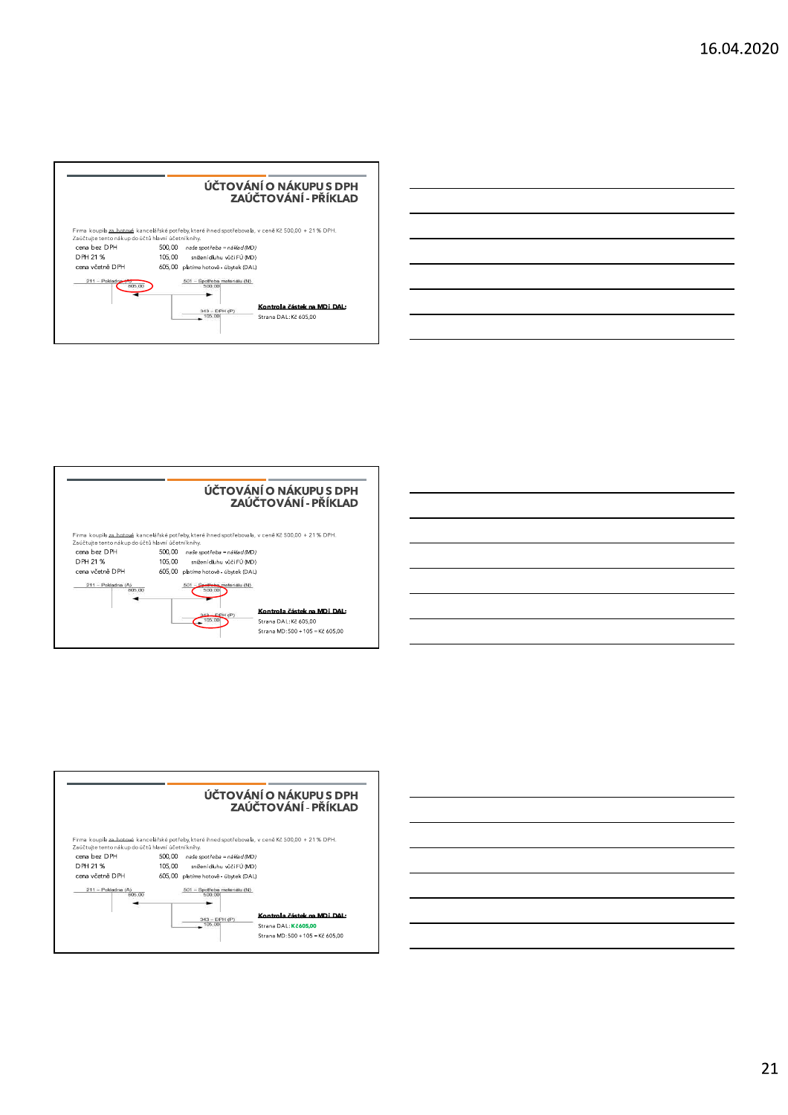





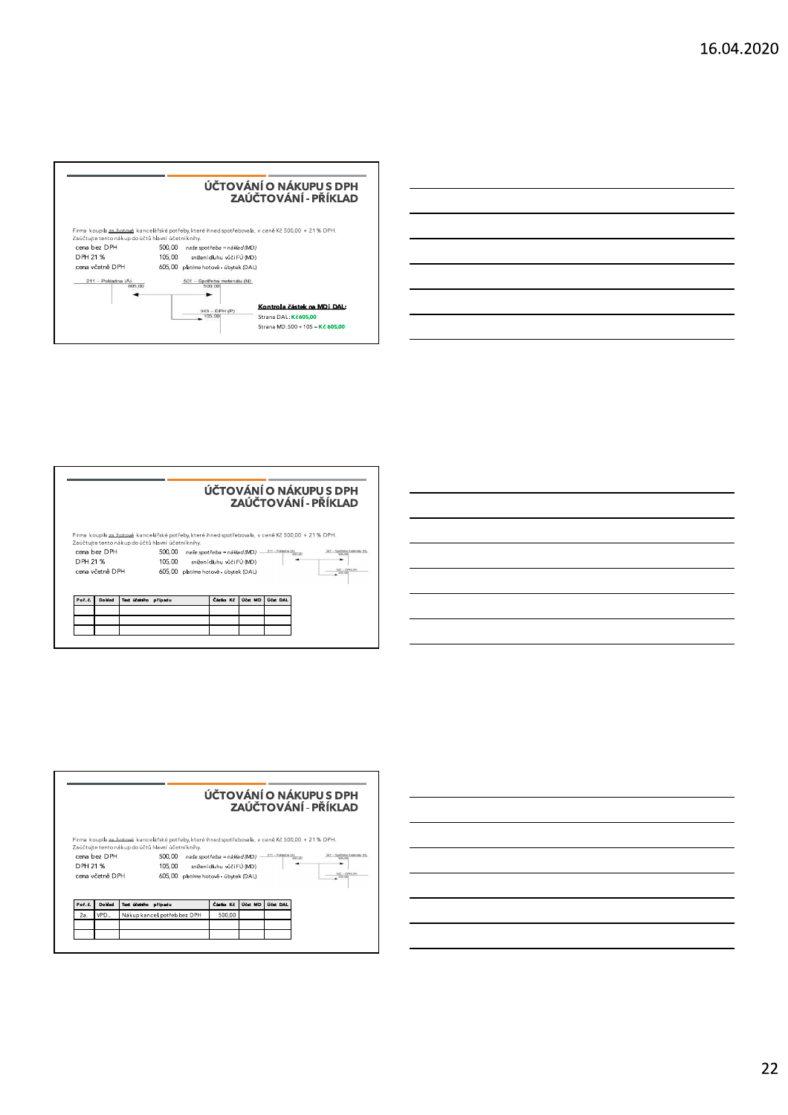







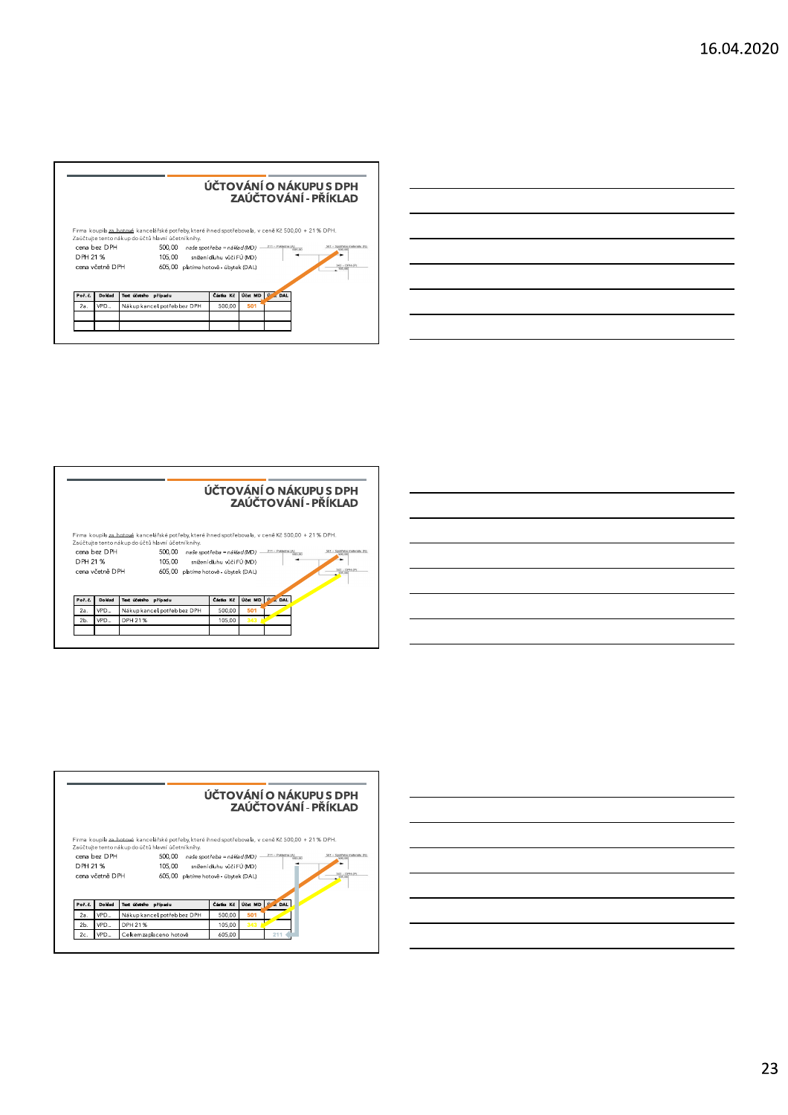





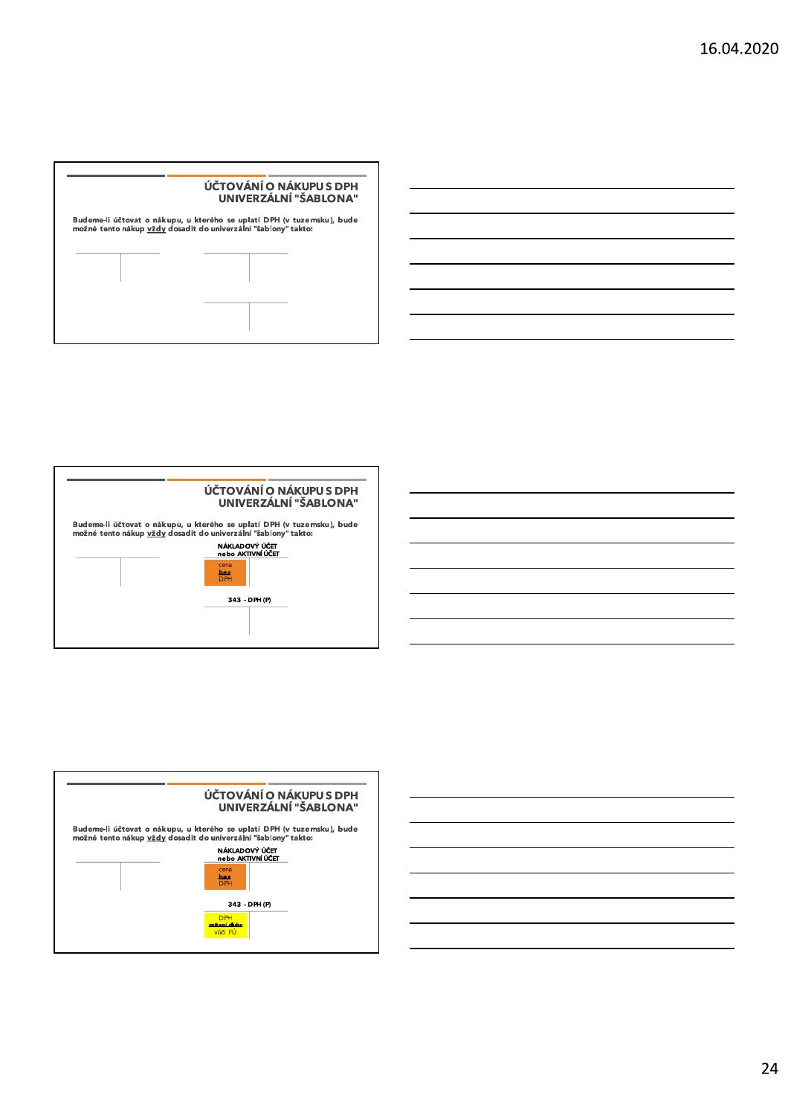





24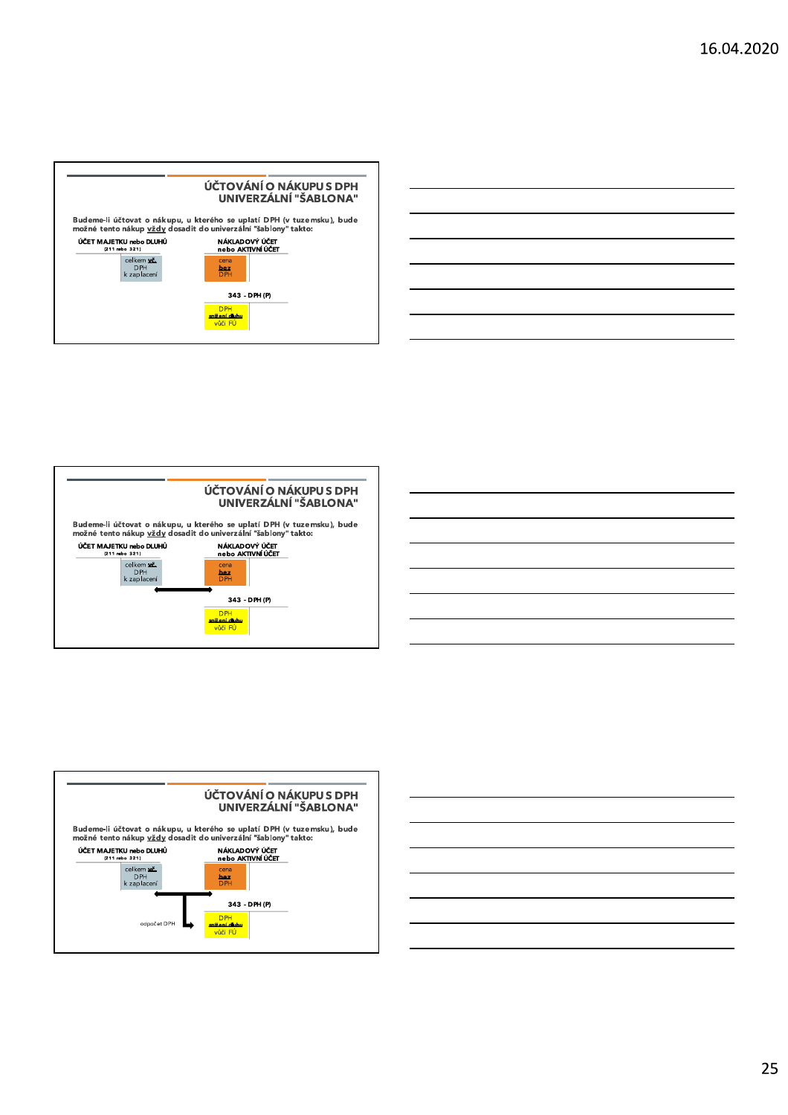





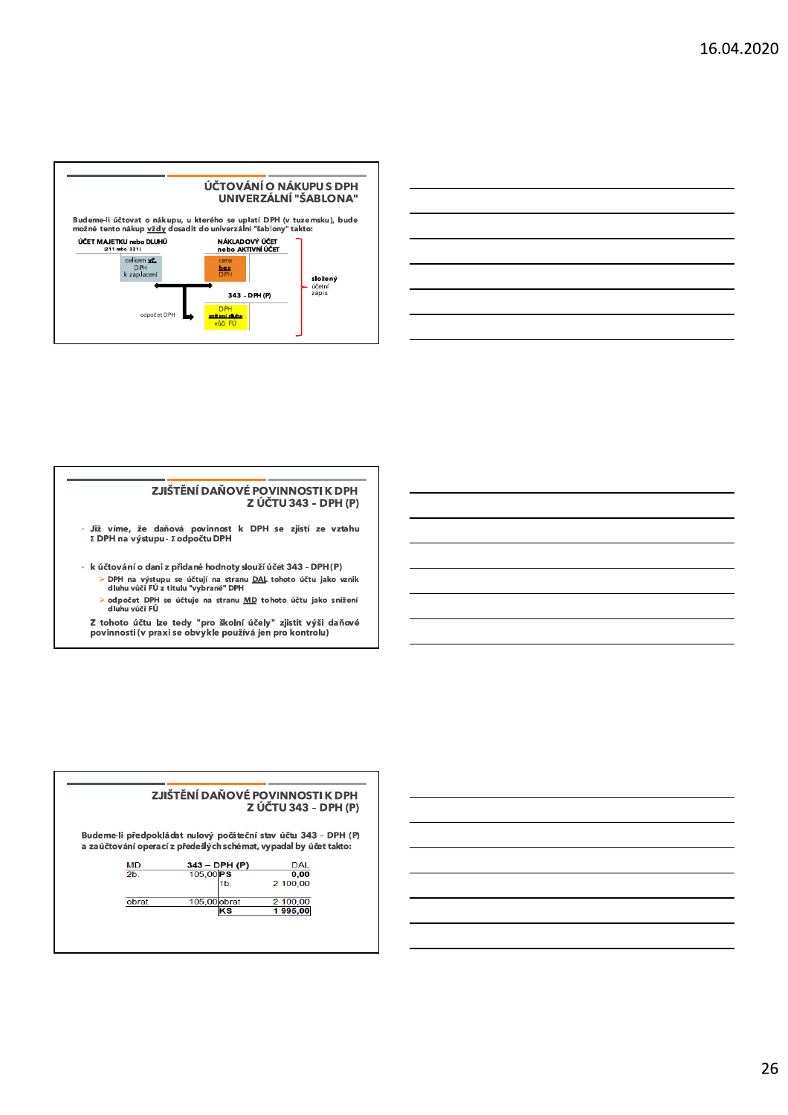



#### ZJIŠTĚNÍ DAŇOVÉ POVINNOSTI K DPH Z ÚČTU 343 - DPH (P)

- Již víme, že daňová povinnost k DPH se zjistí ze vztahu<br>ΣDPH na výstupu-ΣodpočtuDPH
- · k účtování o dani z přidané hodnoty slouží účet 343 DPH (P) > DPH na výstupu se účtují na stranu <u>DAL</u> tohoto účtu jako vznik<br>dluhu vůči FÚ z titulu "vybrané" DPH
	- > odpočet DPH se účtuje na stranu <u>MD</u> tohoto účtu jako snížení<br>dluhu vůči FÚ

Z tohoto účtu lze tedy "pro školní účely" zjistit výši daňové<br>povinnosti (v praxi se obvykle používá jen pro kontrolu)

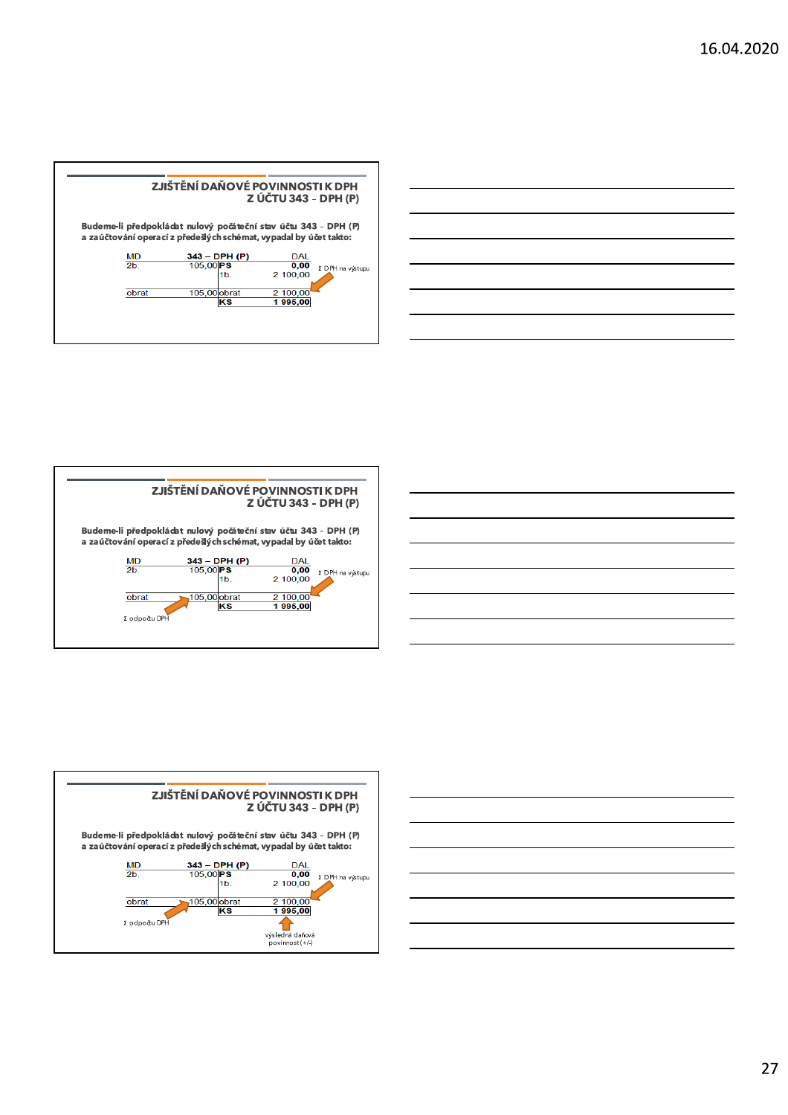